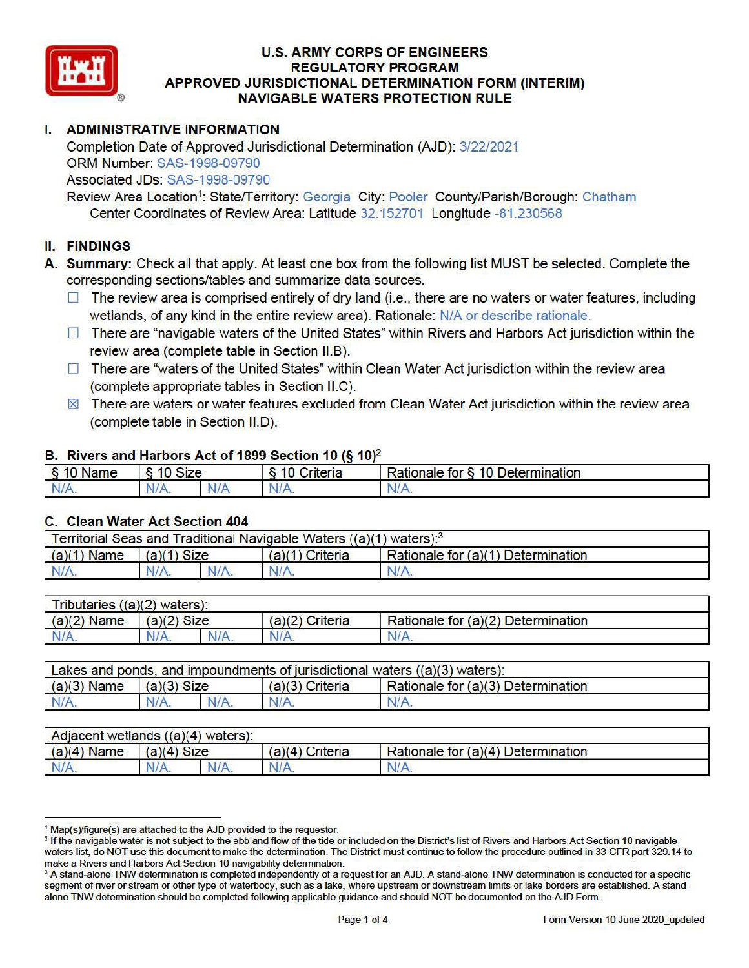

## **U.S. ARMY CORPS OF ENGINEERS REGULATORY PROGRAM APPROVED JURISDICTIONAL DETERMINATION FORM (INTERIM) NAVIGABLE WATERS PROTECTION RULE**

# I. **ADMINISTRATIVE INFORMATION**

Completion Date of Approved Jurisdictional Determination (AJD): 3/22/2021 ORM Number: SAS-1998-09790 Associated JDs: SAS-1998-09790

Review Area Location<sup>1</sup>: State/Territory: Georgia City: Pooler County/Parish/Borough: Chatham Center Coordinates of Review Area: Latitude 32.152701 Longitude -81.230568

## II. **FINDINGS**

**A. Summary:** Check all that apply. At least one box from the following list MUST be selected. Complete the corresponding sections/tables and summarize data sources.

- $\Box$  The review area is comprised entirely of dry land (i.e., there are no waters or water features, including wetlands, of any kind in the entire review area). Rationale: N/A or describe rationale.
- $\Box$  There are "navigable waters of the United States" within Rivers and Harbors Act jurisdiction within the review area (complete table in Section I1.B).
- $\Box$  There are "waters of the United States" within Clean Water Act jurisdiction within the review area (complete appropriate tables in Section I1.C).
- $\boxtimes$  There are waters or water features excluded from Clean Water Act jurisdiction within the review area (complete table in Section I1.D).

#### **B. Rivers and Harbors Act of 1899 Section 10 (§ 10)<sup>2</sup>**

| § 10 Name | \$10<br>Size |     | Criteria<br>10 | <b>Rationale for y</b><br>10 Determination |  |
|-----------|--------------|-----|----------------|--------------------------------------------|--|
| N/A.      | $N/A$ .      | N/A | N/A.           | $N/A$ .                                    |  |

#### **C. Clean Water Act Section 404**

| Territorial Seas and Traditional Navigable Waters $((a)(1)$ waters): <sup>3</sup> |               |  |                   |                                    |  |  |  |
|-----------------------------------------------------------------------------------|---------------|--|-------------------|------------------------------------|--|--|--|
| $(a)(1)$ Name                                                                     | $(a)(1)$ Size |  | $(a)(1)$ Criteria | Rationale for (a)(1) Determination |  |  |  |
| N/A.                                                                              | N/A.          |  | N/A.              | $N/A$ .                            |  |  |  |

| Tributaries $((a)(2)$ waters): |               |  |                 |                                    |  |  |  |
|--------------------------------|---------------|--|-----------------|------------------------------------|--|--|--|
| $(a)(2)$ Name                  | $(a)(2)$ Size |  | (a)(2) Criteria | Rationale for (a)(2) Determination |  |  |  |
| N/A.                           | N/A.<br>N/A.  |  | N/A.            | $N/A$ .                            |  |  |  |

| Lakes and ponds, and impoundments of jurisdictional waters $((a)(3)$ waters): |               |  |                   |                                    |  |  |  |
|-------------------------------------------------------------------------------|---------------|--|-------------------|------------------------------------|--|--|--|
| $(a)(3)$ Name                                                                 | $(a)(3)$ Size |  | $(a)(3)$ Criteria | Rationale for (a)(3) Determination |  |  |  |
| N/A.                                                                          | N/A.          |  | N/A               | $N/A$ .                            |  |  |  |

| Adjacent wetlands $((a)(4)$ waters): |               |  |                    |                                    |  |  |  |
|--------------------------------------|---------------|--|--------------------|------------------------------------|--|--|--|
| $(a)(4)$ Name                        | $(a)(4)$ Size |  | Criteria<br>(a)(4) | Rationale for (a)(4) Determination |  |  |  |
| $N/A$ .                              | N/A.<br>N/A.  |  | N/A.               | N/A                                |  |  |  |

<sup>&</sup>lt;sup>1</sup> Map(s)/figure(s) are attached to the AJD provided to the requestor.<br><sup>2</sup> If the navigable water is not subject to the ebb and flow of the tide or included on the District's list of Rivers and Harbors Act Section 10 navi waters list, do NOT use this document to make the determination. The District must continue to follow the procedure outlined in 33 CFR part 329.14 to make a Rivers and Harbors Act Section 10 navigability determination.

<sup>&</sup>lt;sup>3</sup> A stand-alone TNW determination is completed independently of a request for an AJD. A stand-alone TNW determination is conducted for a specific segment of river or stream or other type of waterbody, such as a lake, where upstream or downstream limits or lake borders are established. A standalone TNW determination should be completed following applicable guidance and should NOT be documented on the AJD Form.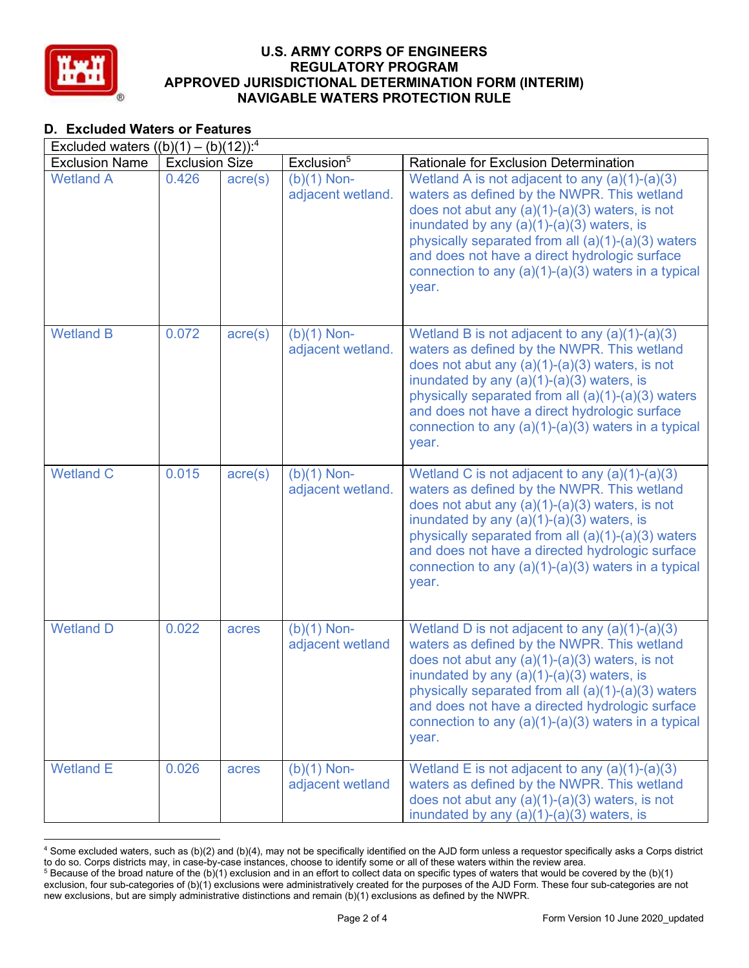

#### **U.S. ARMY CORPS OF ENGINEERS**  NAVIGABLE WATERS PROTECTION RULE U.S. ARMY CORPS OF ENGINEERS<br>REGULATORY PROGRAM<br>APPROVED JURISDICTIONAL DETERMINATION FOR THE MANIGABLE WATERS PROTECTION RI REGULATORY PROGRAM APPROVED JURISDICTIONAL DETERMINATION FORM (INTERIM)

# D. Excluded Waters or Features

| Excluded waters $((b)(1) - (b)(12))$ : <sup>4</sup> |                       |                  |                                    |                                                                                                                                                                                                                                                                                                                                                                                 |  |  |  |
|-----------------------------------------------------|-----------------------|------------------|------------------------------------|---------------------------------------------------------------------------------------------------------------------------------------------------------------------------------------------------------------------------------------------------------------------------------------------------------------------------------------------------------------------------------|--|--|--|
| <b>Exclusion Name</b>                               | <b>Exclusion Size</b> |                  | Exclusion <sup>5</sup>             | Rationale for Exclusion Determination                                                                                                                                                                                                                                                                                                                                           |  |  |  |
| <b>Wetland A</b>                                    | 0.426                 | $\text{acre}(s)$ | $(b)(1)$ Non-<br>adjacent wetland. | Wetland A is not adjacent to any $(a)(1)-(a)(3)$<br>waters as defined by the NWPR. This wetland<br>does not abut any $(a)(1)-(a)(3)$ waters, is not<br>inundated by any $(a)(1)-(a)(3)$ waters, is<br>physically separated from all $(a)(1)-(a)(3)$ waters<br>and does not have a direct hydrologic surface<br>connection to any $(a)(1)-(a)(3)$ waters in a typical<br>year.   |  |  |  |
| <b>Wetland B</b>                                    | 0.072                 | $\text{acre}(s)$ | $(b)(1)$ Non-<br>adjacent wetland. | Wetland B is not adjacent to any $(a)(1)-(a)(3)$<br>waters as defined by the NWPR. This wetland<br>does not abut any $(a)(1)-(a)(3)$ waters, is not<br>inundated by any $(a)(1)-(a)(3)$ waters, is<br>physically separated from all (a)(1)-(a)(3) waters<br>and does not have a direct hydrologic surface<br>connection to any $(a)(1)-(a)(3)$ waters in a typical<br>year.     |  |  |  |
| <b>Wetland C</b>                                    | 0.015                 | $\text{acre}(s)$ | $(b)(1)$ Non-<br>adjacent wetland. | Wetland C is not adjacent to any $(a)(1)-(a)(3)$<br>waters as defined by the NWPR. This wetland<br>does not abut any $(a)(1)-(a)(3)$ waters, is not<br>inundated by any $(a)(1)-(a)(3)$ waters, is<br>physically separated from all $(a)(1)-(a)(3)$ waters<br>and does not have a directed hydrologic surface<br>connection to any $(a)(1)-(a)(3)$ waters in a typical<br>year. |  |  |  |
| <b>Wetland D</b>                                    | 0.022                 | acres            | $(b)(1)$ Non-<br>adjacent wetland  | Wetland D is not adjacent to any $(a)(1)-(a)(3)$<br>waters as defined by the NWPR. This wetland<br>does not abut any $(a)(1)-(a)(3)$ waters, is not<br>inundated by any $(a)(1)-(a)(3)$ waters, is<br>physically separated from all (a)(1)-(a)(3) waters<br>and does not have a directed hydrologic surface<br>connection to any $(a)(1)-(a)(3)$ waters in a typical<br>year.   |  |  |  |
| <b>Wetland E</b>                                    | 0.026                 | acres            | $(b)(1)$ Non-<br>adjacent wetland  | Wetland E is not adjacent to any $(a)(1)-(a)(3)$<br>waters as defined by the NWPR. This wetland<br>does not abut any $(a)(1)-(a)(3)$ waters, is not<br>inundated by any $(a)(1)-(a)(3)$ waters, is                                                                                                                                                                              |  |  |  |

 $^4$  Some excluded waters, such as (b)(2) and (b)(4), may not be specifically identified on the AJD form unless a requestor specifically asks a Corps district to do so. Corps districts may, in case-by-case instances, choose to identify some or all of these waters within the review area.  $^5$  Because of the broad nature of the (b)(1) exclusion and in an effort to collect data on specific types of waters that would be covered by the (b)(1)

 exclusion, four sub-categories of (b)(1) exclusions were administratively created for the purposes of the AJD Form. These four sub-categories are not new exclusions, but are simply administrative distinctions and remain (b)(1) exclusions as defined by the NWPR.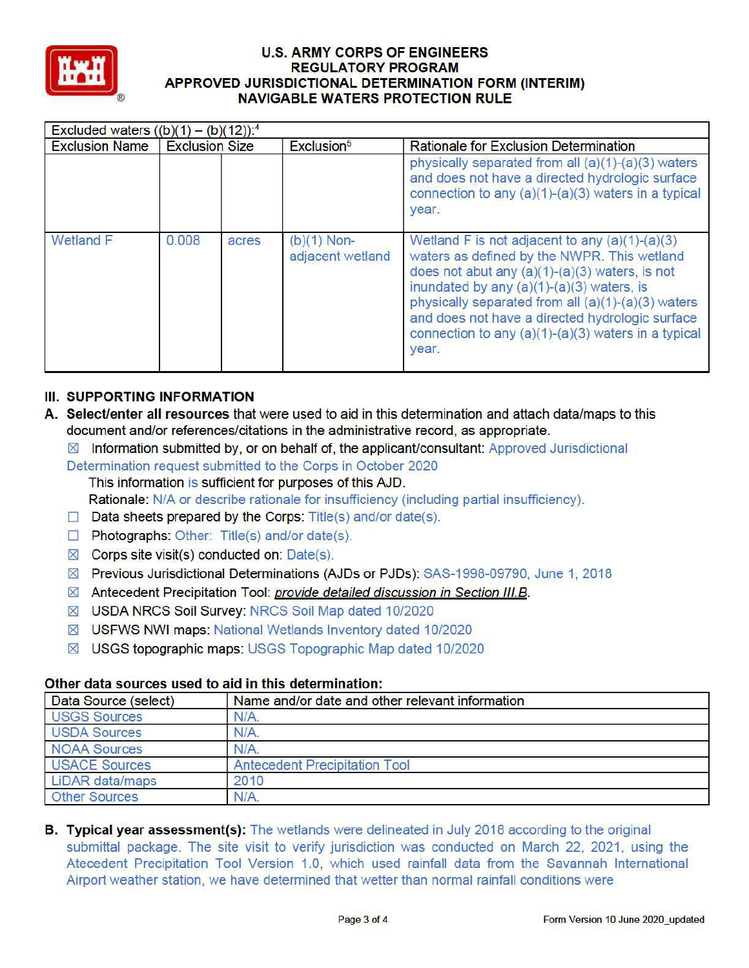

# **U.S. ARMY CORPS OF ENGINEERS REGULATORY PROGRAM APPROVED JURISDICTIONAL DETERMINATION FORM (INTERIM) NAVIGABLE WATERS PROTECTION RULE**

| Excluded waters $((b)(1) - (b)(12))$ : <sup>4</sup> |                       |       |                                   |                                                                                                                                                                                                                                                                                                                                                                             |
|-----------------------------------------------------|-----------------------|-------|-----------------------------------|-----------------------------------------------------------------------------------------------------------------------------------------------------------------------------------------------------------------------------------------------------------------------------------------------------------------------------------------------------------------------------|
| <b>Exclusion Name</b>                               | <b>Exclusion Size</b> |       | Exclusion <sup>5</sup>            | Rationale for Exclusion Determination                                                                                                                                                                                                                                                                                                                                       |
|                                                     |                       |       |                                   | physically separated from all $(a)(1)-(a)(3)$ waters<br>and does not have a directed hydrologic surface<br>connection to any (a)(1)-(a)(3) waters in a typical<br>year.                                                                                                                                                                                                     |
| <b>Wetland F</b>                                    | 0.008                 | acres | $(b)(1)$ Non-<br>adjacent wetland | Wetland F is not adjacent to any $(a)(1)-(a)(3)$<br>waters as defined by the NWPR. This wetland<br>does not abut any $(a)(1)-(a)(3)$ waters, is not<br>inundated by any $(a)(1)-(a)(3)$ waters, is<br>physically separated from all (a)(1)-(a)(3) waters<br>and does not have a directed hydrologic surface<br>connection to any (a)(1)-(a)(3) waters in a typical<br>year. |

# **III. SUPPORTING INFORMATION**

- **A. SelecUenter all resources** that were used to aid in this determination and attach data/maps to this document and/or references/citations in the administrative record, as appropriate.
	- $\boxtimes$  Information submitted by, or on behalf of, the applicant/consultant: Approved Jurisdictional
	- Determination request submitted to the Corps in October 2020 This information is sufficient for purposes of this AJD.

Rationale: N/A or describe rationale for insufficiency (including partial insufficiency).

- $\Box$  Data sheets prepared by the Corps: Title(s) and/or date(s).
- $\Box$  Photographs: Other: Title(s) and/or date(s).
- $\boxtimes$  Corps site visit(s) conducted on: Date(s).
- IZI Previous Jurisdictional Determinations (AJDs or PJDs): SAS-1998-09790, June 1, 2018
- ⊠ Antecedent Precipitation Tool: *provide detailed discussion in Section III.B.*
- **IX USDA NRCS Soil Survey: NRCS Soil Map dated 10/2020**
- USFWS NWI maps: National Wetlands Inventory dated 10/2020
- USGS topographic maps: USGS Topographic Map dated 10/2020

# **Other data sources used to aid in this determination:**

| Data Source (select) | Name and/or date and other relevant information |  |
|----------------------|-------------------------------------------------|--|
| <b>USGS Sources</b>  | N/A.                                            |  |
| <b>USDA Sources</b>  | $N/A$ .                                         |  |
| <b>NOAA Sources</b>  | $N/A$ .                                         |  |
| <b>USACE Sources</b> | <b>Antecedent Precipitation Tool</b>            |  |
| LiDAR data/maps      | 2010                                            |  |
| <b>Other Sources</b> | N/A                                             |  |

**B. Typical year assessment(s):** The wetlands were delineated in July 2018 according to the original submittal package. The site visit to verify jurisdiction was conducted on March 22, 2021, using the Atecedent Precipitation Tool Version 1.0, which used rainfall data from the Savannah International Airport weather station, we have determined that wetter than normal rainfall conditions were